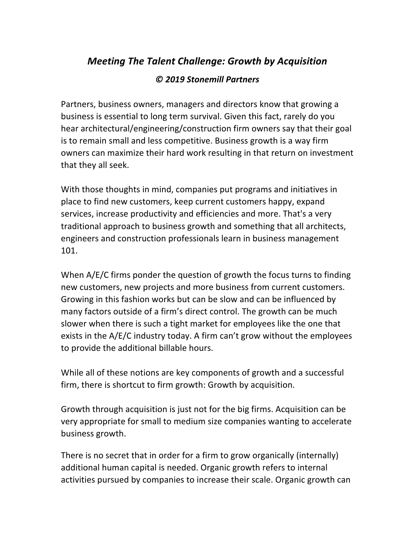## *Meeting The Talent Challenge: Growth by Acquisition*

## *© 2019 Stonemill Partners*

Partners, business owners, managers and directors know that growing a business is essential to long term survival. Given this fact, rarely do you hear architectural/engineering/construction firm owners say that their goal is to remain small and less competitive. Business growth is a way firm owners can maximize their hard work resulting in that return on investment that they all seek.

With those thoughts in mind, companies put programs and initiatives in place to find new customers, keep current customers happy, expand services, increase productivity and efficiencies and more. That's a very traditional approach to business growth and something that all architects, engineers and construction professionals learn in business management 101. 

When  $A/E/C$  firms ponder the question of growth the focus turns to finding new customers, new projects and more business from current customers. Growing in this fashion works but can be slow and can be influenced by many factors outside of a firm's direct control. The growth can be much slower when there is such a tight market for employees like the one that exists in the  $A/E/C$  industry today. A firm can't grow without the employees to provide the additional billable hours.

While all of these notions are key components of growth and a successful firm, there is shortcut to firm growth: Growth by acquisition.

Growth through acquisition is just not for the big firms. Acquisition can be very appropriate for small to medium size companies wanting to accelerate business growth.

There is no secret that in order for a firm to grow organically (internally) additional human capital is needed. Organic growth refers to internal activities pursued by companies to increase their scale. Organic growth can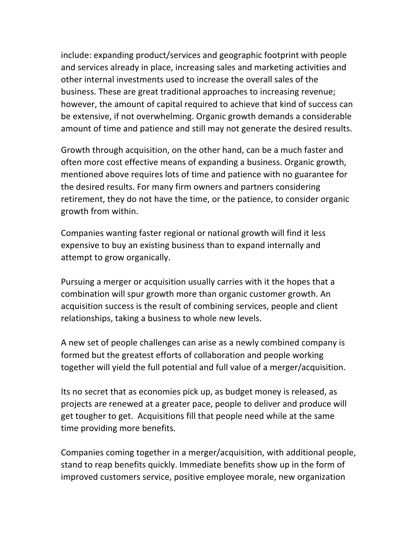include: expanding product/services and geographic footprint with people and services already in place, increasing sales and marketing activities and other internal investments used to increase the overall sales of the business. These are great traditional approaches to increasing revenue; however, the amount of capital required to achieve that kind of success can be extensive, if not overwhelming. Organic growth demands a considerable amount of time and patience and still may not generate the desired results.

Growth through acquisition, on the other hand, can be a much faster and often more cost effective means of expanding a business. Organic growth, mentioned above requires lots of time and patience with no guarantee for the desired results. For many firm owners and partners considering retirement, they do not have the time, or the patience, to consider organic growth from within.

Companies wanting faster regional or national growth will find it less expensive to buy an existing business than to expand internally and attempt to grow organically.

Pursuing a merger or acquisition usually carries with it the hopes that a combination will spur growth more than organic customer growth. An acquisition success is the result of combining services, people and client relationships, taking a business to whole new levels.

A new set of people challenges can arise as a newly combined company is formed but the greatest efforts of collaboration and people working together will yield the full potential and full value of a merger/acquisition.

Its no secret that as economies pick up, as budget money is released, as projects are renewed at a greater pace, people to deliver and produce will get tougher to get. Acquisitions fill that people need while at the same time providing more benefits.

Companies coming together in a merger/acquisition, with additional people, stand to reap benefits quickly. Immediate benefits show up in the form of improved customers service, positive employee morale, new organization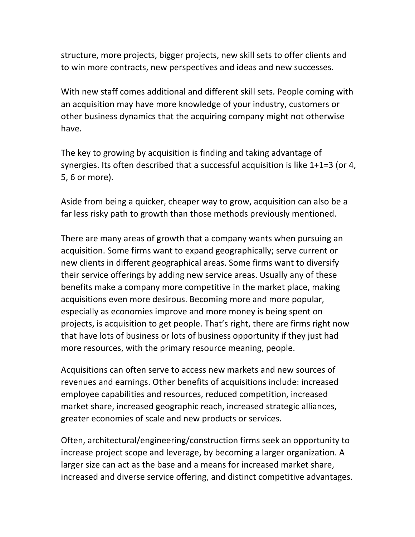structure, more projects, bigger projects, new skill sets to offer clients and to win more contracts, new perspectives and ideas and new successes.

With new staff comes additional and different skill sets. People coming with an acquisition may have more knowledge of your industry, customers or other business dynamics that the acquiring company might not otherwise have. 

The key to growing by acquisition is finding and taking advantage of synergies. Its often described that a successful acquisition is like  $1+1=3$  (or 4, 5, 6 or more).

Aside from being a quicker, cheaper way to grow, acquisition can also be a far less risky path to growth than those methods previously mentioned.

There are many areas of growth that a company wants when pursuing an acquisition. Some firms want to expand geographically; serve current or new clients in different geographical areas. Some firms want to diversify their service offerings by adding new service areas. Usually any of these benefits make a company more competitive in the market place, making acquisitions even more desirous. Becoming more and more popular, especially as economies improve and more money is being spent on projects, is acquisition to get people. That's right, there are firms right now that have lots of business or lots of business opportunity if they just had more resources, with the primary resource meaning, people.

Acquisitions can often serve to access new markets and new sources of revenues and earnings. Other benefits of acquisitions include: increased employee capabilities and resources, reduced competition, increased market share, increased geographic reach, increased strategic alliances, greater economies of scale and new products or services.

Often, architectural/engineering/construction firms seek an opportunity to increase project scope and leverage, by becoming a larger organization. A larger size can act as the base and a means for increased market share, increased and diverse service offering, and distinct competitive advantages.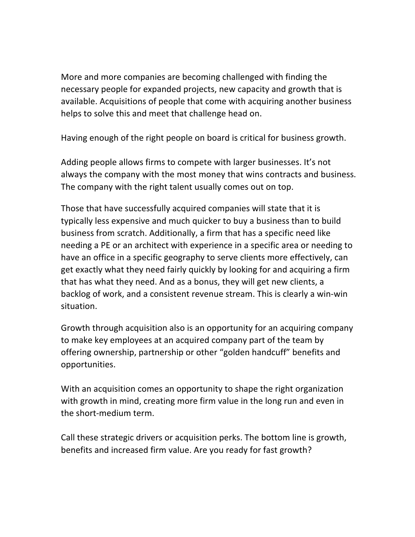More and more companies are becoming challenged with finding the necessary people for expanded projects, new capacity and growth that is available. Acquisitions of people that come with acquiring another business helps to solve this and meet that challenge head on.

Having enough of the right people on board is critical for business growth.

Adding people allows firms to compete with larger businesses. It's not always the company with the most money that wins contracts and business. The company with the right talent usually comes out on top.

Those that have successfully acquired companies will state that it is typically less expensive and much quicker to buy a business than to build business from scratch. Additionally, a firm that has a specific need like needing a PE or an architect with experience in a specific area or needing to have an office in a specific geography to serve clients more effectively, can get exactly what they need fairly quickly by looking for and acquiring a firm that has what they need. And as a bonus, they will get new clients, a backlog of work, and a consistent revenue stream. This is clearly a win-win situation.

Growth through acquisition also is an opportunity for an acquiring company to make key employees at an acquired company part of the team by offering ownership, partnership or other "golden handcuff" benefits and opportunities. 

With an acquisition comes an opportunity to shape the right organization with growth in mind, creating more firm value in the long run and even in the short-medium term.

Call these strategic drivers or acquisition perks. The bottom line is growth, benefits and increased firm value. Are you ready for fast growth?